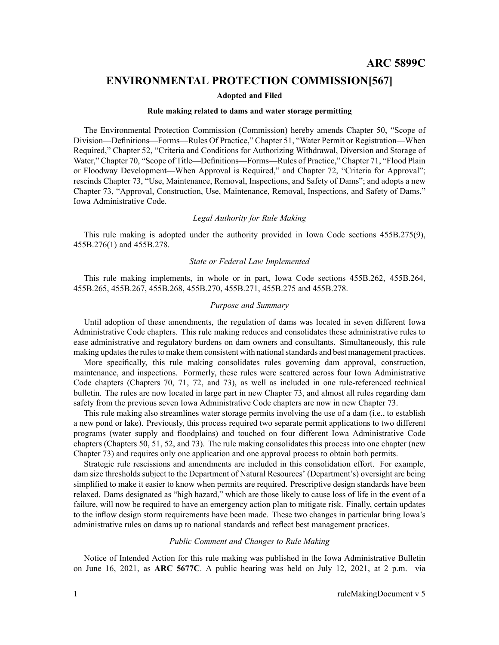# **ENVIRONMENTAL PROTECTION COMMISSION[567]**

### **Adopted and Filed**

#### **Rule making related to dams and water storage permitting**

The Environmental Protection Commission (Commission) hereby amends Chapter 50, "Scope of Division—Definitions—Forms—Rules Of Practice," Chapter 51, "Water Permit or Registration—When Required," Chapter 52, "Criteria and Conditions for Authorizing Withdrawal, Diversion and Storage of Water," Chapter 70, "Scope of Title—Definitions—Forms—Rules of Practice," Chapter 71, "Flood Plain or Floodway Development—When Approval is Required," and Chapter 72, "Criteria for Approval"; rescinds Chapter 73, "Use, Maintenance, Removal, Inspections, and Safety of Dams"; and adopts <sup>a</sup> new Chapter 73, "Approval, Construction, Use, Maintenance, Removal, Inspections, and Safety of Dams," Iowa Administrative Code.

## *Legal Authority for Rule Making*

This rule making is adopted under the authority provided in Iowa Code sections 455B.275(9), 455B.276(1) and 455B.278.

## *State or Federal Law Implemented*

This rule making implements, in whole or in part, Iowa Code sections 455B.262, 455B.264, 455B.265, 455B.267, 455B.268, 455B.270, 455B.271, 455B.275 and 455B.278.

### *Purpose and Summary*

Until adoption of these amendments, the regulation of dams was located in seven different Iowa Administrative Code chapters. This rule making reduces and consolidates these administrative rules to ease administrative and regulatory burdens on dam owners and consultants. Simultaneously, this rule making updates the rules to make them consistent with national standards and best management practices.

More specifically, this rule making consolidates rules governing dam approval, construction, maintenance, and inspections. Formerly, these rules were scattered across four Iowa Administrative Code chapters (Chapters 70, 71, 72, and 73), as well as included in one rule-referenced technical bulletin. The rules are now located in large par<sup>t</sup> in new Chapter 73, and almost all rules regarding dam safety from the previous seven Iowa Administrative Code chapters are now in new Chapter 73.

This rule making also streamlines water storage permits involving the use of <sup>a</sup> dam (i.e., to establish <sup>a</sup> new pond or lake). Previously, this process required two separate permit applications to two different programs (water supply and floodplains) and touched on four different Iowa Administrative Code chapters (Chapters 50, 51, 52, and 73). The rule making consolidates this process into one chapter (new Chapter 73) and requires only one application and one approval process to obtain both permits.

Strategic rule rescissions and amendments are included in this consolidation effort. For example, dam size thresholds subject to the Department of Natural Resources' (Department's) oversight are being simplified to make it easier to know when permits are required. Prescriptive design standards have been relaxed. Dams designated as "high hazard," which are those likely to cause loss of life in the event of <sup>a</sup> failure, will now be required to have an emergency action plan to mitigate risk. Finally, certain updates to the inflow design storm requirements have been made. These two changes in particular bring Iowa's administrative rules on dams up to national standards and reflect best managemen<sup>t</sup> practices.

### *Public Comment and Changes to Rule Making*

Notice of Intended Action for this rule making was published in the Iowa Administrative Bulletin on June 16, 2021, as **ARC 5677C**. A public hearing was held on July 12, 2021, at 2 p.m. via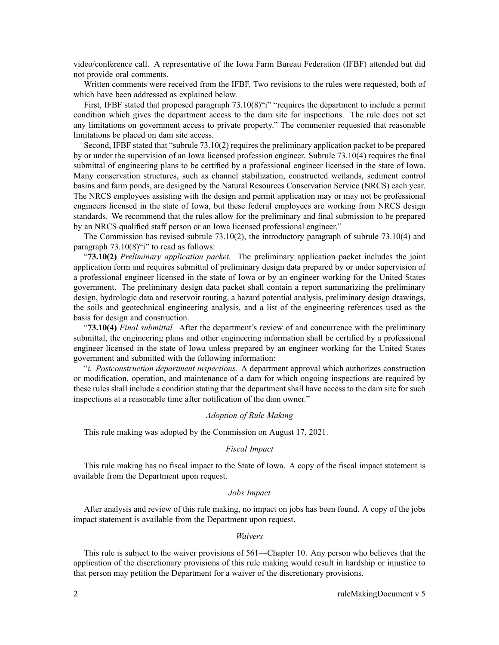video/conference call. A representative of the Iowa Farm Bureau Federation (IFBF) attended but did not provide oral comments.

Written comments were received from the IFBF. Two revisions to the rules were requested, both of which have been addressed as explained below.

First, IFBF stated that proposed paragraph  $73.10(8)$ "i" "requires the department to include a permit condition which gives the department access to the dam site for inspections. The rule does not set any limitations on governmen<sup>t</sup> access to private property." The commenter requested that reasonable limitations be placed on dam site access.

Second, IFBF stated that "subrule 73.10(2) requires the preliminary application packet to be prepared by or under the supervision of an Iowa licensed profession engineer. Subrule 73.10(4) requires the final submittal of engineering plans to be certified by <sup>a</sup> professional engineer licensed in the state of Iowa. Many conservation structures, such as channel stabilization, constructed wetlands, sediment control basins and farm ponds, are designed by the Natural Resources Conservation Service (NRCS) each year. The NRCS employees assisting with the design and permit application may or may not be professional engineers licensed in the state of Iowa, but these federal employees are working from NRCS design standards. We recommend that the rules allow for the preliminary and final submission to be prepared by an NRCS qualified staff person or an Iowa licensed professional engineer."

The Commission has revised subrule 73.10(2), the introductory paragraph of subrule 73.10(4) and paragraph 73.10(8)"i" to read as follows:

"**73.10(2)** *Preliminary application packet.* The preliminary application packet includes the joint application form and requires submittal of preliminary design data prepared by or under supervision of <sup>a</sup> professional engineer licensed in the state of Iowa or by an engineer working for the United States government. The preliminary design data packet shall contain <sup>a</sup> repor<sup>t</sup> summarizing the preliminary design, hydrologic data and reservoir routing, <sup>a</sup> hazard potential analysis, preliminary design drawings, the soils and geotechnical engineering analysis, and <sup>a</sup> list of the engineering references used as the basis for design and construction.

"**73.10(4)** *Final submittal.* After the department's review of and concurrence with the preliminary submittal, the engineering plans and other engineering information shall be certified by <sup>a</sup> professional engineer licensed in the state of Iowa unless prepared by an engineer working for the United States governmen<sup>t</sup> and submitted with the following information:

"*i. Postconstruction department inspections.* A department approval which authorizes construction or modification, operation, and maintenance of <sup>a</sup> dam for which ongoing inspections are required by these rules shall include <sup>a</sup> condition stating that the department shall have access to the dam site for such inspections at <sup>a</sup> reasonable time after notification of the dam owner."

## *Adoption of Rule Making*

This rule making was adopted by the Commission on August 17, 2021.

## *Fiscal Impact*

This rule making has no fiscal impact to the State of Iowa. A copy of the fiscal impact statement is available from the Department upon request.

### *Jobs Impact*

After analysis and review of this rule making, no impact on jobs has been found. A copy of the jobs impact statement is available from the Department upon request.

## *Waivers*

This rule is subject to the waiver provisions of 561—Chapter 10. Any person who believes that the application of the discretionary provisions of this rule making would result in hardship or injustice to that person may petition the Department for <sup>a</sup> waiver of the discretionary provisions.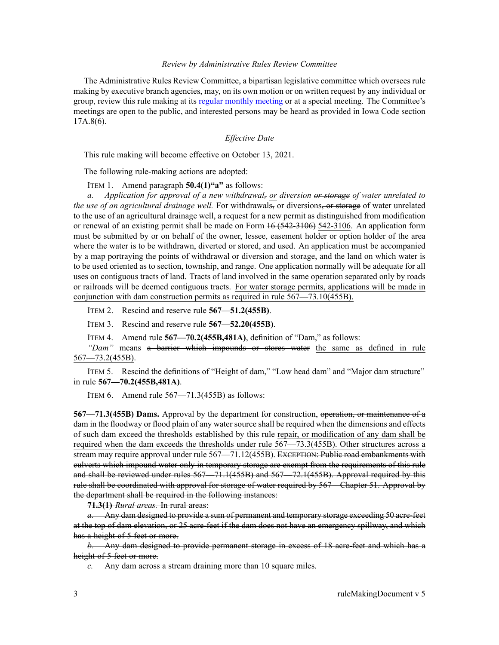### *Review by Administrative Rules Review Committee*

The Administrative Rules Review Committee, <sup>a</sup> bipartisan legislative committee which oversees rule making by executive branch agencies, may, on its own motion or on written reques<sup>t</sup> by any individual or group, review this rule making at its regular [monthly](https://www.legis.iowa.gov/committees/meetings/meetingsListComm?groupID=705&ga=89) meeting or at <sup>a</sup> special meeting. The Committee's meetings are open to the public, and interested persons may be heard as provided in Iowa Code section 17A.8(6).

# *Effective Date*

This rule making will become effective on October 13, 2021.

The following rule-making actions are adopted:

ITEM 1. Amend paragraph **50.4(1)"a"** as follows:

*a. Application for approval of <sup>a</sup> new withdrawal, or diversion or storage of water unrelated to the use of an agricultural drainage well.* For withdrawals, or diversions, or storage of water unrelated to the use of an agricultural drainage well, <sup>a</sup> reques<sup>t</sup> for <sup>a</sup> new permit as distinguished from modification or renewal of an existing permit shall be made on Form 16 (542-3106) 542-3106. An application form must be submitted by or on behalf of the owner, lessee, easement holder or option holder of the area where the water is to be withdrawn, diverted or stored, and used. An application must be accompanied by a map portraying the points of withdrawal or diversion and storage, and the land on which water is to be used oriented as to section, township, and range. One application normally will be adequate for all uses on contiguous tracts of land. Tracts of land involved in the same operation separated only by roads or railroads will be deemed contiguous tracts. For water storage permits, applications will be made in conjunction with dam construction permits as required in rule [567—73.10](https://www.legis.iowa.gov/docs/iac/rule/567.73.10.pdf)(455B).

ITEM 2. Rescind and reserve rule **567—51.2(455B)**.

ITEM 3. Rescind and reserve rule **567—52.20(455B)**.

ITEM 4. Amend rule **567—70.2(455B,481A)**, definition of "Dam," as follows:

*"Dam"* means <sup>a</sup> barrier which impounds or stores water the same as defined in rule [567—73.2](https://www.legis.iowa.gov/docs/iac/rule/567.73.2.pdf)(455B).

ITEM 5. Rescind the definitions of "Height of dam," "Low head dam" and "Major dam structure" in rule **567—70.2(455B,481A)**.

ITEM 6. Amend rule  $567 - 71.3(455B)$  as follows:

**567—71.3(455B) Dams.** Approval by the department for construction, operation, or maintenance of <sup>a</sup> dam in the floodway or flood plain of any water source shall be required when the dimensions and effects of such dam exceed the thresholds established by this rule repair, or modification of any dam shall be required when the dam exceeds the thresholds under rule [567—73.3](https://www.legis.iowa.gov/docs/iac/rule/567.73.3.pdf)(455B). Other structures across <sup>a</sup> stream may require approval under rule 567-71.12(455B). EXCEPTION: Public road embankments with culverts which impound water only in temporary storage are exemp<sup>t</sup> from the requirements of this rule and shall be reviewed under rules [567—71.1](https://www.legis.iowa.gov/docs/iac/rule/567.71.1.pdf)(455B) and [567—72.1](https://www.legis.iowa.gov/docs/iac/rule/567.72.1.pdf)(455B). Approval required by this rule shall be coordinated with approval for storage of water required by [567—Chapter](https://www.legis.iowa.gov/docs/iac/chapter/567.51.pdf) 51. Approval by the department shall be required in the following instances:

**71.3(1)** *Rural areas.* In rural areas:

*a.* Any dam designed to provide <sup>a</sup> sum of permanen<sup>t</sup> and temporary storage exceeding 50 acre-feet at the top of dam elevation, or 25 acre-feet if the dam does not have an emergency spillway, and which has a height of 5 feet or more.

*b.* Any dam designed to provide permanen<sup>t</sup> storage in excess of 18 acre-feet and which has <sup>a</sup> height of 5 feet or more.

*c.* Any dam across <sup>a</sup> stream draining more than 10 square miles.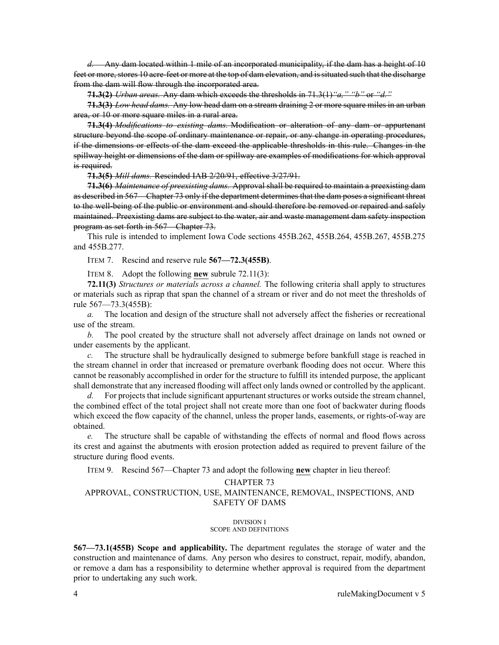*d.* Any dam located within 1 mile of an incorporated municipality, if the dam has <sup>a</sup> height of 10 feet or more, stores 10 acre-feet or more at the top of dam elevation, and issituated such that the discharge from the dam will flow through the incorporated area.

**71.3(2)** *Urban areas.* Any dam which exceeds the thresholds in [71.3\(1\)](https://www.legis.iowa.gov/docs/iac/rule/567.71.3.pdf)*"a," "b"* or *"d."*

**71.3(3)** *Low head dams.* Any low head dam on <sup>a</sup> stream draining 2 or more square miles in an urban area, or 10 or more square miles in <sup>a</sup> rural area.

**71.3(4)** *Modifications to existing dams.* Modification or alteration of any dam or appurtenant structure beyond the scope of ordinary maintenance or repair, or any change in operating procedures, if the dimensions or effects of the dam exceed the applicable thresholds in this rule. Changes in the spillway height or dimensions of the dam or spillway are examples of modifications for which approval is required.

**71.3(5)** *Mill dams.* Rescinded IAB [2/20/91](https://www.legis.iowa.gov/docs/aco/bulletin/02-20-1991.pdf), effective 3/27/91.

**71.3(6)** *Maintenance of preexisting dams.* Approval shall be required to maintain <sup>a</sup> preexisting dam as described in [567—Chapter](https://www.legis.iowa.gov/docs/iac/chapter/567.73.pdf) 73 only if the department determines that the dam poses <sup>a</sup> significant threat to the well-being of the public or environment and should therefore be removed or repaired and safely maintained. Preexisting dams are subject to the water, air and waste managemen<sup>t</sup> dam safety inspection program as set forth in [567—Chapter](https://www.legis.iowa.gov/docs/iac/chapter/567.73.pdf) 73.

This rule is intended to implement Iowa Code sections [455B.262](https://www.legis.iowa.gov/docs/ico/section/455B.262.pdf), [455B.264](https://www.legis.iowa.gov/docs/ico/section/455B.264.pdf), [455B.267](https://www.legis.iowa.gov/docs/ico/section/455B.267.pdf), [455B.275](https://www.legis.iowa.gov/docs/ico/section/455B.275.pdf) and [455B.277](https://www.legis.iowa.gov/docs/ico/section/455B.277.pdf).

ITEM 7. Rescind and reserve rule **567—72.3(455B)**.

ITEM 8. Adopt the following **new** subrule 72.11(3):

**72.11(3)** *Structures or materials across <sup>a</sup> channel.* The following criteria shall apply to structures or materials such as riprap that span the channel of <sup>a</sup> stream or river and do not meet the thresholds of rule [567—73.3](https://www.legis.iowa.gov/docs/iac/rule/567.73.3.pdf)(455B):

*a.* The location and design of the structure shall not adversely affect the fisheries or recreational use of the stream.

*b.* The pool created by the structure shall not adversely affect drainage on lands not owned or under easements by the applicant.

*c.* The structure shall be hydraulically designed to submerge before bankfull stage is reached in the stream channel in order that increased or premature overbank flooding does not occur. Where this cannot be reasonably accomplished in order for the structure to fulfill its intended purpose, the applicant shall demonstrate that any increased flooding will affect only lands owned or controlled by the applicant.

*d.* For projects that include significant appurtenant structures or works outside the stream channel, the combined effect of the total project shall not create more than one foot of backwater during floods which exceed the flow capacity of the channel, unless the proper lands, easements, or rights-of-way are obtained.

*e.* The structure shall be capable of withstanding the effects of normal and flood flows across its crest and against the abutments with erosion protection added as required to preven<sup>t</sup> failure of the structure during flood events.

ITEM 9. Rescind 567—Chapter 73 and adopt the following **new** chapter in lieu thereof:

#### CHAPTER 73

# APPROVAL, CONSTRUCTION, USE, MAINTENANCE, REMOVAL, INSPECTIONS, AND SAFETY OF DAMS

#### DIVISION I SCOPE AND DEFINITIONS

**567—73.1(455B) Scope and applicability.** The department regulates the storage of water and the construction and maintenance of dams. Any person who desires to construct, repair, modify, abandon, or remove <sup>a</sup> dam has <sup>a</sup> responsibility to determine whether approval is required from the department prior to undertaking any such work.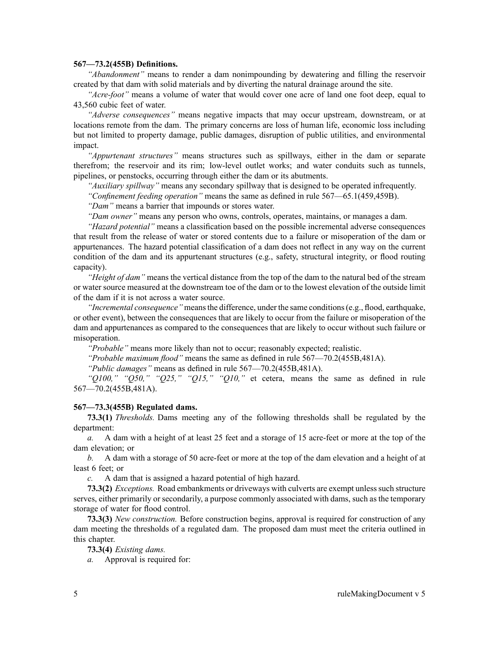#### **567—73.2(455B) Definitions.**

*"Abandonment"* means to render <sup>a</sup> dam nonimpounding by dewatering and filling the reservoir created by that dam with solid materials and by diverting the natural drainage around the site.

*"Acre-foot"* means <sup>a</sup> volume of water that would cover one acre of land one foot deep, equal to 43,560 cubic feet of water.

*"Adverse consequences"* means negative impacts that may occur upstream, downstream, or at locations remote from the dam. The primary concerns are loss of human life, economic loss including but not limited to property damage, public damages, disruption of public utilities, and environmental impact.

*"Appurtenant structures"* means structures such as spillways, either in the dam or separate therefrom; the reservoir and its rim; low-level outlet works; and water conduits such as tunnels, pipelines, or penstocks, occurring through either the dam or its abutments.

*"Auxiliary spillway"* means any secondary spillway that is designed to be operated infrequently.

*"Confinement feeding operation"* means the same as defined in rule [567—65.1](https://www.legis.iowa.gov/docs/iac/rule/567.65.1.pdf)(459,459B).

*"Dam"* means <sup>a</sup> barrier that impounds or stores water.

*"Dam owner"* means any person who owns, controls, operates, maintains, or manages <sup>a</sup> dam.

*"Hazard potential"* means <sup>a</sup> classification based on the possible incremental adverse consequences that result from the release of water or stored contents due to <sup>a</sup> failure or misoperation of the dam or appurtenances. The hazard potential classification of <sup>a</sup> dam does not reflect in any way on the current condition of the dam and its appurtenant structures (e.g., safety, structural integrity, or flood routing capacity).

*"Height of dam"* means the vertical distance from the top of the dam to the natural bed of the stream or water source measured at the downstream toe of the dam or to the lowest elevation of the outside limit of the dam if it is not across <sup>a</sup> water source.

*"Incremental consequence*" means the difference, under the same conditions (e.g., flood, earthquake, or other event), between the consequences that are likely to occur from the failure or misoperation of the dam and appurtenances as compared to the consequences that are likely to occur without such failure or misoperation.

*"Probable"* means more likely than not to occur; reasonably expected; realistic.

*"Probable maximum flood"* means the same as defined in rule [567—70.2](https://www.legis.iowa.gov/docs/iac/rule/567.70.2.pdf)(455B,481A).

*"Public damages"* means as defined in rule [567—70.2](https://www.legis.iowa.gov/docs/iac/rule/567.70.2.pdf)(455B,481A).

*"Q100," "Q50," "Q25," "Q15," "Q10,"* et cetera, means the same as defined in rule [567—70.2](https://www.legis.iowa.gov/docs/iac/rule/567.70.2.pdf)(455B,481A).

## **567—73.3(455B) Regulated dams.**

**73.3(1)** *Thresholds.* Dams meeting any of the following thresholds shall be regulated by the department:

*a.* A dam with <sup>a</sup> height of at least 25 feet and <sup>a</sup> storage of 15 acre-feet or more at the top of the dam elevation; or

*b.* A dam with <sup>a</sup> storage of 50 acre-feet or more at the top of the dam elevation and <sup>a</sup> height of at least 6 feet; or

*c.* A dam that is assigned <sup>a</sup> hazard potential of high hazard.

**73.3(2)** *Exceptions.* Road embankments or driveways with culverts are exempt unless such structure serves, either primarily or secondarily, <sup>a</sup> purpose commonly associated with dams, such as the temporary storage of water for flood control.

**73.3(3)** *New construction.* Before construction begins, approval is required for construction of any dam meeting the thresholds of <sup>a</sup> regulated dam. The proposed dam must meet the criteria outlined in this chapter.

**73.3(4)** *Existing dams.*

*a.* Approval is required for: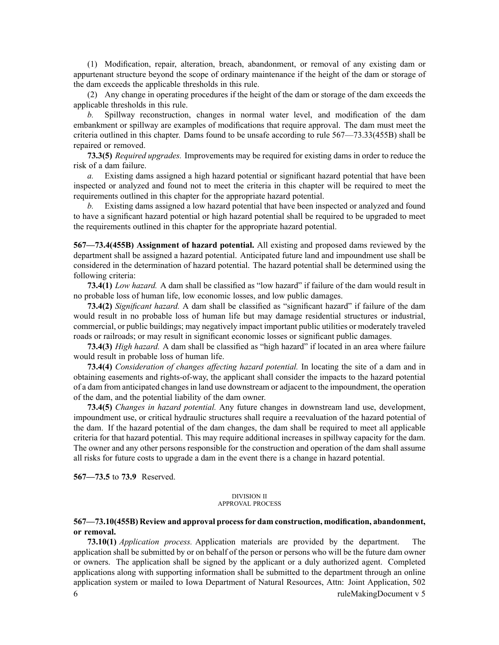(1) Modification, repair, alteration, breach, abandonment, or removal of any existing dam or appurtenant structure beyond the scope of ordinary maintenance if the height of the dam or storage of the dam exceeds the applicable thresholds in this rule.

(2) Any change in operating procedures if the height of the dam or storage of the dam exceeds the applicable thresholds in this rule.

*b.* Spillway reconstruction, changes in normal water level, and modification of the dam embankment or spillway are examples of modifications that require approval. The dam must meet the criteria outlined in this chapter. Dams found to be unsafe according to rule [567—73.33](https://www.legis.iowa.gov/docs/iac/rule/567.73.33.pdf)(455B) shall be repaired or removed.

**73.3(5)** *Required upgrades.* Improvements may be required for existing dams in order to reduce the risk of <sup>a</sup> dam failure.

*a.* Existing dams assigned <sup>a</sup> high hazard potential or significant hazard potential that have been inspected or analyzed and found not to meet the criteria in this chapter will be required to meet the requirements outlined in this chapter for the appropriate hazard potential.

*b.* Existing dams assigned <sup>a</sup> low hazard potential that have been inspected or analyzed and found to have <sup>a</sup> significant hazard potential or high hazard potential shall be required to be upgraded to meet the requirements outlined in this chapter for the appropriate hazard potential.

**567—73.4(455B) Assignment of hazard potential.** All existing and proposed dams reviewed by the department shall be assigned <sup>a</sup> hazard potential. Anticipated future land and impoundment use shall be considered in the determination of hazard potential. The hazard potential shall be determined using the following criteria:

**73.4(1)** *Low hazard.* A dam shall be classified as "low hazard" if failure of the dam would result in no probable loss of human life, low economic losses, and low public damages.

**73.4(2)** *Significant hazard.* A dam shall be classified as "significant hazard" if failure of the dam would result in no probable loss of human life but may damage residential structures or industrial, commercial, or public buildings; may negatively impact important public utilities or moderately traveled roads or railroads; or may result in significant economic losses or significant public damages.

**73.4(3)** *High hazard.* A dam shall be classified as "high hazard" if located in an area where failure would result in probable loss of human life.

**73.4(4)** *Consideration of changes affecting hazard potential.* In locating the site of <sup>a</sup> dam and in obtaining easements and rights-of-way, the applicant shall consider the impacts to the hazard potential of a dam from anticipated changes in land use downstream or adjacent to the impoundment, the operation of the dam, and the potential liability of the dam owner.

**73.4(5)** *Changes in hazard potential.* Any future changes in downstream land use, development, impoundment use, or critical hydraulic structures shall require <sup>a</sup> reevaluation of the hazard potential of the dam. If the hazard potential of the dam changes, the dam shall be required to meet all applicable criteria for that hazard potential. This may require additional increases in spillway capacity for the dam. The owner and any other persons responsible for the construction and operation of the dam shall assume all risks for future costs to upgrade <sup>a</sup> dam in the event there is <sup>a</sup> change in hazard potential.

**567—73.5** to **73.9** Reserved.

#### DIVISION II APPROVAL PROCESS

# **567—73.10(455B) Review and approval processfor dam construction, modification, abandonment, or removal.**

**73.10(1)** *Application process.* Application materials are provided by the department. The application shall be submitted by or on behalf of the person or persons who will be the future dam owner or owners. The application shall be signed by the applicant or <sup>a</sup> duly authorized agent. Completed applications along with supporting information shall be submitted to the department through an online application system or mailed to Iowa Department of Natural Resources, Attn: Joint Application, 502 6 ruleMakingDocument <sup>v</sup> 5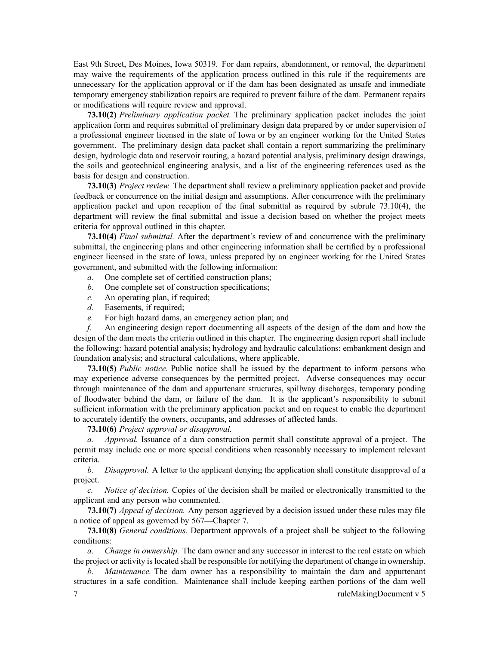East 9th Street, Des Moines, Iowa 50319. For dam repairs, abandonment, or removal, the department may waive the requirements of the application process outlined in this rule if the requirements are unnecessary for the application approval or if the dam has been designated as unsafe and immediate temporary emergency stabilization repairs are required to preven<sup>t</sup> failure of the dam. Permanent repairs or modifications will require review and approval.

**73.10(2)** *Preliminary application packet.* The preliminary application packet includes the joint application form and requires submittal of preliminary design data prepared by or under supervision of <sup>a</sup> professional engineer licensed in the state of Iowa or by an engineer working for the United States government. The preliminary design data packet shall contain <sup>a</sup> repor<sup>t</sup> summarizing the preliminary design, hydrologic data and reservoir routing, <sup>a</sup> hazard potential analysis, preliminary design drawings, the soils and geotechnical engineering analysis, and <sup>a</sup> list of the engineering references used as the basis for design and construction.

**73.10(3)** *Project review.* The department shall review <sup>a</sup> preliminary application packet and provide feedback or concurrence on the initial design and assumptions. After concurrence with the preliminary application packet and upon reception of the final submittal as required by subrule [73.10\(4\)](https://www.legis.iowa.gov/docs/iac/rule/567.73.10.pdf), the department will review the final submittal and issue <sup>a</sup> decision based on whether the project meets criteria for approval outlined in this chapter.

**73.10(4)** *Final submittal.* After the department's review of and concurrence with the preliminary submittal, the engineering plans and other engineering information shall be certified by <sup>a</sup> professional engineer licensed in the state of Iowa, unless prepared by an engineer working for the United States government, and submitted with the following information:

- *a.* One complete set of certified construction plans;
- *b.* One complete set of construction specifications;
- *c.* An operating plan, if required;
- *d.* Easements, if required;
- *e.* For high hazard dams, an emergency action plan; and

*f.* An engineering design repor<sup>t</sup> documenting all aspects of the design of the dam and how the design of the dam meets the criteria outlined in this chapter. The engineering design repor<sup>t</sup> shall include the following: hazard potential analysis; hydrology and hydraulic calculations; embankment design and foundation analysis; and structural calculations, where applicable.

**73.10(5)** *Public notice.* Public notice shall be issued by the department to inform persons who may experience adverse consequences by the permitted project. Adverse consequences may occur through maintenance of the dam and appurtenant structures, spillway discharges, temporary ponding of floodwater behind the dam, or failure of the dam. It is the applicant's responsibility to submit sufficient information with the preliminary application packet and on reques<sup>t</sup> to enable the department to accurately identify the owners, occupants, and addresses of affected lands.

## **73.10(6)** *Project approval or disapproval.*

*a. Approval.* Issuance of <sup>a</sup> dam construction permit shall constitute approval of <sup>a</sup> project. The permit may include one or more special conditions when reasonably necessary to implement relevant criteria.

*b. Disapproval.* A letter to the applicant denying the application shall constitute disapproval of <sup>a</sup> project.

*c. Notice of decision.* Copies of the decision shall be mailed or electronically transmitted to the applicant and any person who commented.

**73.10(7)** *Appeal of decision.* Any person aggrieved by <sup>a</sup> decision issued under these rules may file <sup>a</sup> notice of appeal as governed by [567—Chapter](https://www.legis.iowa.gov/docs/iac/chapter/567.7.pdf) 7.

**73.10(8)** *General conditions.* Department approvals of <sup>a</sup> project shall be subject to the following conditions:

*a. Change in ownership.* The dam owner and any successor in interest to the real estate on which the project or activity islocated shall be responsible for notifying the department of change in ownership.

*Maintenance*. The dam owner has a responsibility to maintain the dam and appurtenant structures in <sup>a</sup> safe condition. Maintenance shall include keeping earthen portions of the dam well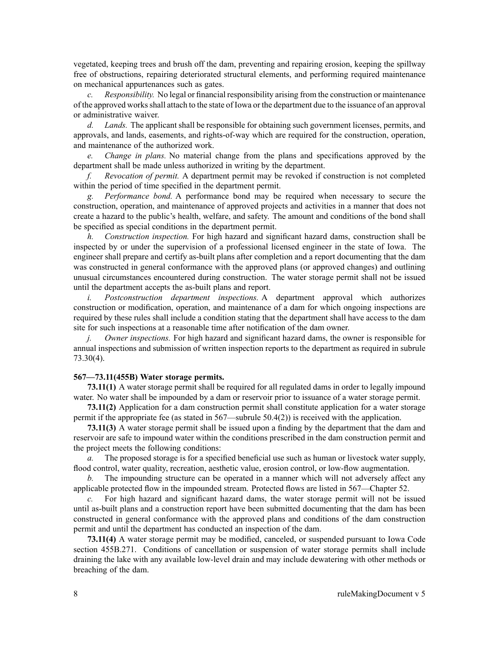vegetated, keeping trees and brush off the dam, preventing and repairing erosion, keeping the spillway free of obstructions, repairing deteriorated structural elements, and performing required maintenance on mechanical appurtenances such as gates.

*c. Responsibility.* No legal or financial responsibility arising from the construction or maintenance of the approved worksshall attach to the state of Iowa or the department due to the issuance of an approval or administrative waiver.

*d. Lands.* The applicant shall be responsible for obtaining such governmen<sup>t</sup> licenses, permits, and approvals, and lands, easements, and rights-of-way which are required for the construction, operation, and maintenance of the authorized work.

*e. Change in plans.* No material change from the plans and specifications approved by the department shall be made unless authorized in writing by the department.

*f. Revocation of permit.* A department permit may be revoked if construction is not completed within the period of time specified in the department permit.

*g. Performance bond.* A performance bond may be required when necessary to secure the construction, operation, and maintenance of approved projects and activities in <sup>a</sup> manner that does not create <sup>a</sup> hazard to the public's health, welfare, and safety. The amount and conditions of the bond shall be specified as special conditions in the department permit.

*h. Construction inspection.* For high hazard and significant hazard dams, construction shall be inspected by or under the supervision of <sup>a</sup> professional licensed engineer in the state of Iowa. The engineer shall prepare and certify as-built plans after completion and <sup>a</sup> repor<sup>t</sup> documenting that the dam was constructed in general conformance with the approved plans (or approved changes) and outlining unusual circumstances encountered during construction. The water storage permit shall not be issued until the department accepts the as-built plans and report.

*i. Postconstruction department inspections.* A department approval which authorizes construction or modification, operation, and maintenance of <sup>a</sup> dam for which ongoing inspections are required by these rules shall include <sup>a</sup> condition stating that the department shall have access to the dam site for such inspections at <sup>a</sup> reasonable time after notification of the dam owner.

*j. Owner inspections.* For high hazard and significant hazard dams, the owner is responsible for annual inspections and submission of written inspection reports to the department as required in [subrule](https://www.legis.iowa.gov/docs/iac/rule/567.73.30.pdf) [73.30\(4\)](https://www.legis.iowa.gov/docs/iac/rule/567.73.30.pdf).

## **567—73.11(455B) Water storage permits.**

**73.11(1)** A water storage permit shall be required for all regulated dams in order to legally impound water. No water shall be impounded by <sup>a</sup> dam or reservoir prior to issuance of <sup>a</sup> water storage permit.

**73.11(2)** Application for <sup>a</sup> dam construction permit shall constitute application for <sup>a</sup> water storage permit if the appropriate fee (as stated in [567—subrule](https://www.legis.iowa.gov/docs/iac/rule/567.50.4.pdf) 50.4(2)) is received with the application.

**73.11(3)** A water storage permit shall be issued upon <sup>a</sup> finding by the department that the dam and reservoir are safe to impound water within the conditions prescribed in the dam construction permit and the project meets the following conditions:

*a.* The proposed storage is for <sup>a</sup> specified beneficial use such as human or livestock water supply, flood control, water quality, recreation, aesthetic value, erosion control, or low-flow augmentation.

*b.* The impounding structure can be operated in <sup>a</sup> manner which will not adversely affect any applicable protected flow in the impounded stream. Protected flows are listed in [567—Chapter](https://www.legis.iowa.gov/docs/iac/chapter/567.52.pdf) 52.

*c.* For high hazard and significant hazard dams, the water storage permit will not be issued until as-built plans and <sup>a</sup> construction repor<sup>t</sup> have been submitted documenting that the dam has been constructed in general conformance with the approved plans and conditions of the dam construction permit and until the department has conducted an inspection of the dam.

**73.11(4)** A water storage permit may be modified, canceled, or suspended pursuan<sup>t</sup> to Iowa Code section [455B.271](https://www.legis.iowa.gov/docs/ico/section/455B.271.pdf). Conditions of cancellation or suspension of water storage permits shall include draining the lake with any available low-level drain and may include dewatering with other methods or breaching of the dam.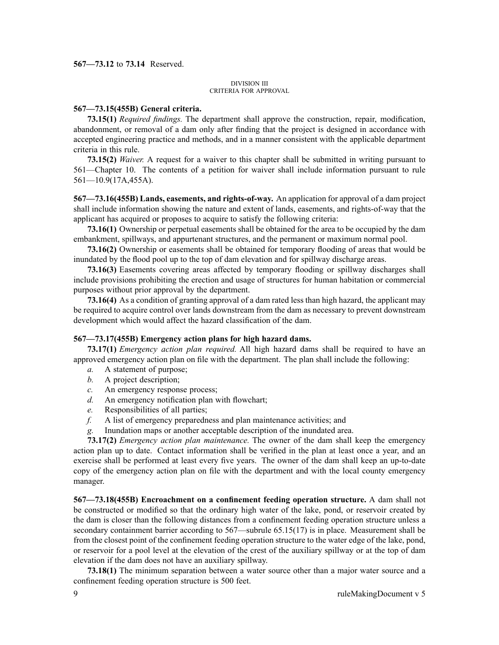### **567—73.12** to **73.14** Reserved.

#### DIVISION III CRITERIA FOR APPROVAL

#### **567—73.15(455B) General criteria.**

**73.15(1)** *Required findings.* The department shall approve the construction, repair, modification, abandonment, or removal of <sup>a</sup> dam only after finding that the project is designed in accordance with accepted engineering practice and methods, and in <sup>a</sup> manner consistent with the applicable department criteria in this rule.

**73.15(2)** *Waiver.* A reques<sup>t</sup> for <sup>a</sup> waiver to this chapter shall be submitted in writing pursuan<sup>t</sup> to [561—Chapter](https://www.legis.iowa.gov/docs/iac/chapter/561.10.pdf) 10. The contents of <sup>a</sup> petition for waiver shall include information pursuan<sup>t</sup> to rule [561—10.9](https://www.legis.iowa.gov/docs/iac/rule/561.10.9.pdf)(17A,455A).

**567—73.16(455B) Lands, easements, and rights-of-way.** An application for approval of <sup>a</sup> dam project shall include information showing the nature and extent of lands, easements, and rights-of-way that the applicant has acquired or proposes to acquire to satisfy the following criteria:

**73.16(1)** Ownership or perpetual easements shall be obtained for the area to be occupied by the dam embankment, spillways, and appurtenant structures, and the permanen<sup>t</sup> or maximum normal pool.

**73.16(2)** Ownership or easements shall be obtained for temporary flooding of areas that would be inundated by the flood pool up to the top of dam elevation and for spillway discharge areas.

**73.16(3)** Easements covering areas affected by temporary flooding or spillway discharges shall include provisions prohibiting the erection and usage of structures for human habitation or commercial purposes without prior approval by the department.

**73.16(4)** As <sup>a</sup> condition of granting approval of <sup>a</sup> dam rated less than high hazard, the applicant may be required to acquire control over lands downstream from the dam as necessary to preven<sup>t</sup> downstream development which would affect the hazard classification of the dam.

#### **567—73.17(455B) Emergency action plans for high hazard dams.**

**73.17(1)** *Emergency action plan required.* All high hazard dams shall be required to have an approved emergency action plan on file with the department. The plan shall include the following:

- *a.* A statement of purpose;
- *b.* A project description;
- *c.* An emergency response process;
- *d.* An emergency notification plan with flowchart;
- *e.* Responsibilities of all parties;
- *f.* A list of emergency preparedness and plan maintenance activities; and
- *g.* Inundation maps or another acceptable description of the inundated area.

**73.17(2)** *Emergency action plan maintenance.* The owner of the dam shall keep the emergency action plan up to date. Contact information shall be verified in the plan at least once <sup>a</sup> year, and an exercise shall be performed at least every five years. The owner of the dam shall keep an up-to-date copy of the emergency action plan on file with the department and with the local county emergency manager.

**567—73.18(455B) Encroachment on <sup>a</sup> confinement feeding operation structure.** A dam shall not be constructed or modified so that the ordinary high water of the lake, pond, or reservoir created by the dam is closer than the following distances from <sup>a</sup> confinement feeding operation structure unless <sup>a</sup> secondary containment barrier according to [567—subrule](https://www.legis.iowa.gov/docs/iac/rule/567.65.15.pdf) 65.15(17) is in place. Measurement shall be from the closest point of the confinement feeding operation structure to the water edge of the lake, pond, or reservoir for <sup>a</sup> pool level at the elevation of the crest of the auxiliary spillway or at the top of dam elevation if the dam does not have an auxiliary spillway.

**73.18(1)** The minimum separation between <sup>a</sup> water source other than <sup>a</sup> major water source and <sup>a</sup> confinement feeding operation structure is 500 feet.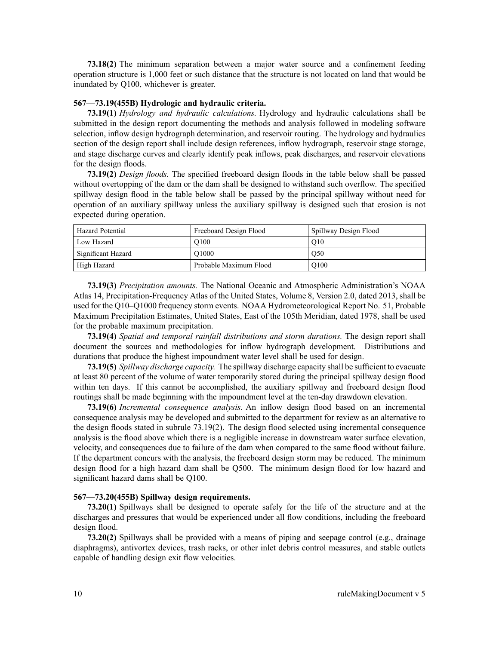**73.18(2)** The minimum separation between <sup>a</sup> major water source and <sup>a</sup> confinement feeding operation structure is 1,000 feet or such distance that the structure is not located on land that would be inundated by Q100, whichever is greater.

## **567—73.19(455B) Hydrologic and hydraulic criteria.**

**73.19(1)** *Hydrology and hydraulic calculations.* Hydrology and hydraulic calculations shall be submitted in the design repor<sup>t</sup> documenting the methods and analysis followed in modeling software selection, inflow design hydrograph determination, and reservoir routing. The hydrology and hydraulics section of the design repor<sup>t</sup> shall include design references, inflow hydrograph, reservoir stage storage, and stage discharge curves and clearly identify peak inflows, peak discharges, and reservoir elevations for the design floods.

**73.19(2)** *Design floods.* The specified freeboard design floods in the table below shall be passed without overtopping of the dam or the dam shall be designed to withstand such overflow. The specified spillway design flood in the table below shall be passed by the principal spillway without need for operation of an auxiliary spillway unless the auxiliary spillway is designed such that erosion is not expected during operation.

| Hazard Potential   | Freeboard Design Flood | Spillway Design Flood |
|--------------------|------------------------|-----------------------|
| Low Hazard         | O <sub>100</sub>       | O10                   |
| Significant Hazard | O <sub>1000</sub>      | O <sub>50</sub>       |
| High Hazard        | Probable Maximum Flood | O <sub>100</sub>      |

**73.19(3)** *Precipitation amounts.* The National Oceanic and Atmospheric Administration's NOAA Atlas 14, Precipitation-Frequency Atlas of the United States, Volume 8, Version 2.0, dated 2013, shall be used for the Q10–Q1000 frequency storm events. NOAA Hydrometeorological Report No. 51, Probable Maximum Precipitation Estimates, United States, East of the 105th Meridian, dated 1978, shall be used for the probable maximum precipitation.

**73.19(4)** *Spatial and temporal rainfall distributions and storm durations.* The design repor<sup>t</sup> shall document the sources and methodologies for inflow hydrograph development. Distributions and durations that produce the highest impoundment water level shall be used for design.

**73.19(5)** *Spillway discharge capacity.* The spillway discharge capacity shall be sufficient to evacuate at least 80 percen<sup>t</sup> of the volume of water temporarily stored during the principal spillway design flood within ten days. If this cannot be accomplished, the auxiliary spillway and freeboard design flood routings shall be made beginning with the impoundment level at the ten-day drawdown elevation.

**73.19(6)** *Incremental consequence analysis.* An inflow design flood based on an incremental consequence analysis may be developed and submitted to the department for review as an alternative to the design floods stated in subrule [73.19\(2\)](https://www.legis.iowa.gov/docs/iac/rule/567.73.19.pdf). The design flood selected using incremental consequence analysis is the flood above which there is <sup>a</sup> negligible increase in downstream water surface elevation, velocity, and consequences due to failure of the dam when compared to the same flood without failure. If the department concurs with the analysis, the freeboard design storm may be reduced. The minimum design flood for <sup>a</sup> high hazard dam shall be Q500. The minimum design flood for low hazard and significant hazard dams shall be Q100.

## **567—73.20(455B) Spillway design requirements.**

**73.20(1)** Spillways shall be designed to operate safely for the life of the structure and at the discharges and pressures that would be experienced under all flow conditions, including the freeboard design flood.

**73.20(2)** Spillways shall be provided with <sup>a</sup> means of piping and seepage control (e.g., drainage diaphragms), antivortex devices, trash racks, or other inlet debris control measures, and stable outlets capable of handling design exit flow velocities.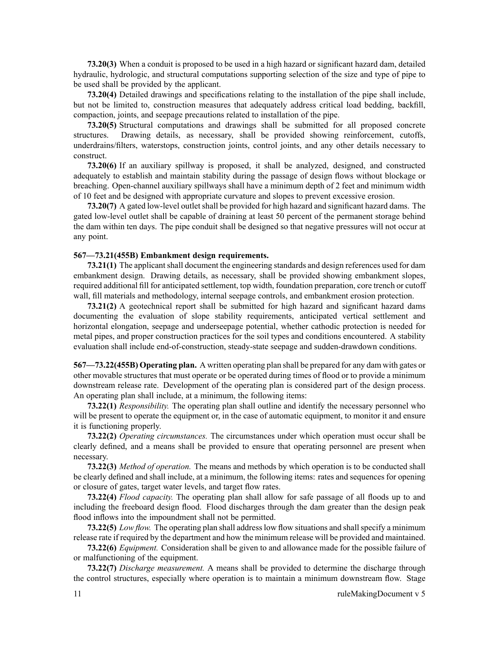**73.20(3)** When <sup>a</sup> conduit is proposed to be used in <sup>a</sup> high hazard or significant hazard dam, detailed hydraulic, hydrologic, and structural computations supporting selection of the size and type of pipe to be used shall be provided by the applicant.

**73.20(4)** Detailed drawings and specifications relating to the installation of the pipe shall include, but not be limited to, construction measures that adequately address critical load bedding, backfill, compaction, joints, and seepage precautions related to installation of the pipe.

**73.20(5)** Structural computations and drawings shall be submitted for all proposed concrete structures. Drawing details, as necessary, shall be provided showing reinforcement, cutoffs, underdrains/filters, waterstops, construction joints, control joints, and any other details necessary to construct.

**73.20(6)** If an auxiliary spillway is proposed, it shall be analyzed, designed, and constructed adequately to establish and maintain stability during the passage of design flows without blockage or breaching. Open-channel auxiliary spillways shall have <sup>a</sup> minimum depth of 2 feet and minimum width of 10 feet and be designed with appropriate curvature and slopes to preven<sup>t</sup> excessive erosion.

73.20(7) A gated low-level outlet shall be provided for high hazard and significant hazard dams. The gated low-level outlet shall be capable of draining at least 50 percen<sup>t</sup> of the permanen<sup>t</sup> storage behind the dam within ten days. The pipe conduit shall be designed so that negative pressures will not occur at any point.

## **567—73.21(455B) Embankment design requirements.**

**73.21(1)** The applicant shall document the engineering standards and design references used for dam embankment design. Drawing details, as necessary, shall be provided showing embankment slopes, required additional fill for anticipated settlement, top width, foundation preparation, core trench or cutoff wall, fill materials and methodology, internal seepage controls, and embankment erosion protection.

**73.21(2)** A geotechnical repor<sup>t</sup> shall be submitted for high hazard and significant hazard dams documenting the evaluation of slope stability requirements, anticipated vertical settlement and horizontal elongation, seepage and underseepage potential, whether cathodic protection is needed for metal pipes, and proper construction practices for the soil types and conditions encountered. A stability evaluation shall include end-of-construction, steady-state seepage and sudden-drawdown conditions.

**567—73.22(455B) Operating plan.** A written operating plan shall be prepared for any dam with gates or other movable structures that must operate or be operated during times of flood or to provide <sup>a</sup> minimum downstream release rate. Development of the operating plan is considered par<sup>t</sup> of the design process. An operating plan shall include, at <sup>a</sup> minimum, the following items:

**73.22(1)** *Responsibility.* The operating plan shall outline and identify the necessary personnel who will be present to operate the equipment or, in the case of automatic equipment, to monitor it and ensure it is functioning properly.

**73.22(2)** *Operating circumstances.* The circumstances under which operation must occur shall be clearly defined, and <sup>a</sup> means shall be provided to ensure that operating personnel are presen<sup>t</sup> when necessary.

**73.22(3)** *Method of operation.* The means and methods by which operation is to be conducted shall be clearly defined and shall include, at <sup>a</sup> minimum, the following items: rates and sequences for opening or closure of gates, target water levels, and target flow rates.

**73.22(4)** *Flood capacity.* The operating plan shall allow for safe passage of all floods up to and including the freeboard design flood. Flood discharges through the dam greater than the design peak flood inflows into the impoundment shall not be permitted.

**73.22(5)** *Low flow.* The operating plan shall address low flow situations and shall specify a minimum release rate if required by the department and how the minimum release will be provided and maintained.

**73.22(6)** *Equipment.* Consideration shall be given to and allowance made for the possible failure of or malfunctioning of the equipment.

**73.22(7)** *Discharge measurement.* A means shall be provided to determine the discharge through the control structures, especially where operation is to maintain <sup>a</sup> minimum downstream flow. Stage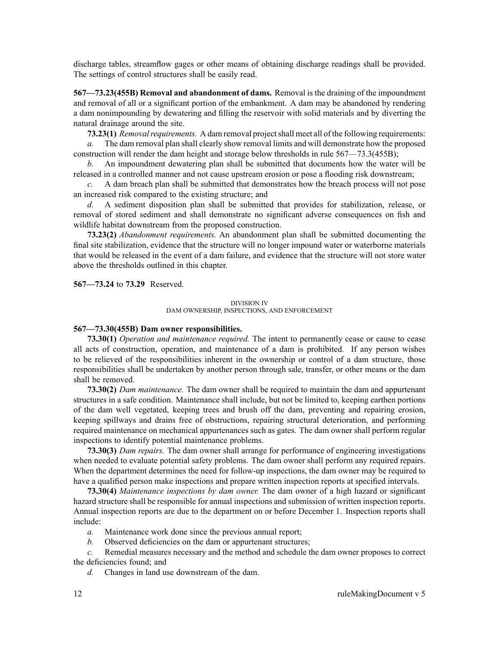discharge tables, streamflow gages or other means of obtaining discharge readings shall be provided. The settings of control structures shall be easily read.

**567—73.23(455B) Removal and abandonment of dams.** Removal is the draining of the impoundment and removal of all or <sup>a</sup> significant portion of the embankment. A dam may be abandoned by rendering <sup>a</sup> dam nonimpounding by dewatering and filling the reservoir with solid materials and by diverting the natural drainage around the site.

**73.23(1)** *Removalrequirements.* A dam removal projectshall meet all of the following requirements:

*a.* The dam removal plan shall clearly show removal limits and will demonstrate how the proposed construction will render the dam height and storage below thresholds in rule 567—73.3(455B);

*b.* An impoundment dewatering plan shall be submitted that documents how the water will be released in <sup>a</sup> controlled manner and not cause upstream erosion or pose <sup>a</sup> flooding risk downstream;

*c.* A dam breach plan shall be submitted that demonstrates how the breach process will not pose an increased risk compared to the existing structure; and

*d.* A sediment disposition plan shall be submitted that provides for stabilization, release, or removal of stored sediment and shall demonstrate no significant adverse consequences on fish and wildlife habitat downstream from the proposed construction.

**73.23(2)** *Abandonment requirements.* An abandonment plan shall be submitted documenting the final site stabilization, evidence that the structure will no longer impound water or waterborne materials that would be released in the event of <sup>a</sup> dam failure, and evidence that the structure will not store water above the thresholds outlined in this chapter.

**567—73.24** to **73.29** Reserved.

#### DIVISION IV DAM OWNERSHIP, INSPECTIONS, AND ENFORCEMENT

### **567—73.30(455B) Dam owner responsibilities.**

**73.30(1)** *Operation and maintenance required.* The intent to permanently cease or cause to cease all acts of construction, operation, and maintenance of <sup>a</sup> dam is prohibited. If any person wishes to be relieved of the responsibilities inherent in the ownership or control of <sup>a</sup> dam structure, those responsibilities shall be undertaken by another person through sale, transfer, or other means or the dam shall be removed.

**73.30(2)** *Dam maintenance.* The dam owner shall be required to maintain the dam and appurtenant structures in <sup>a</sup> safe condition. Maintenance shall include, but not be limited to, keeping earthen portions of the dam well vegetated, keeping trees and brush off the dam, preventing and repairing erosion, keeping spillways and drains free of obstructions, repairing structural deterioration, and performing required maintenance on mechanical appurtenances such as gates. The dam owner shall perform regular inspections to identify potential maintenance problems.

**73.30(3)** *Dam repairs.* The dam owner shall arrange for performance of engineering investigations when needed to evaluate potential safety problems. The dam owner shall perform any required repairs. When the department determines the need for follow-up inspections, the dam owner may be required to have <sup>a</sup> qualified person make inspections and prepare written inspection reports at specified intervals.

**73.30(4)** *Maintenance inspections by dam owner.* The dam owner of <sup>a</sup> high hazard or significant hazard structure shall be responsible for annual inspections and submission of written inspection reports. Annual inspection reports are due to the department on or before December 1. Inspection reports shall include:

- *a.* Maintenance work done since the previous annual report;
- *b.* Observed deficiencies on the dam or appurtenant structures;

*c.* Remedial measures necessary and the method and schedule the dam owner proposes to correct the deficiencies found; and

*d.* Changes in land use downstream of the dam.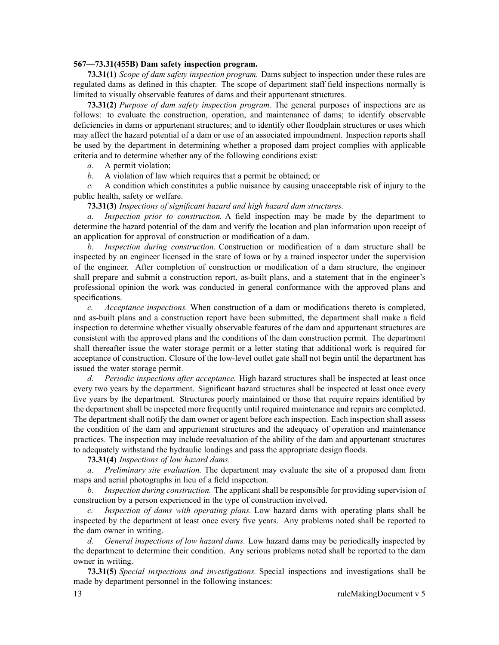### **567—73.31(455B) Dam safety inspection program.**

**73.31(1)** *Scope of dam safety inspection program.* Dams subject to inspection under these rules are regulated dams as defined in this chapter. The scope of department staff field inspections normally is limited to visually observable features of dams and their appurtenant structures.

**73.31(2)** *Purpose of dam safety inspection program.* The general purposes of inspections are as follows: to evaluate the construction, operation, and maintenance of dams; to identify observable deficiencies in dams or appurtenant structures; and to identify other floodplain structures or uses which may affect the hazard potential of <sup>a</sup> dam or use of an associated impoundment. Inspection reports shall be used by the department in determining whether <sup>a</sup> proposed dam project complies with applicable criteria and to determine whether any of the following conditions exist:

*a.* A permit violation;

*b.* A violation of law which requires that <sup>a</sup> permit be obtained; or

*c.* A condition which constitutes <sup>a</sup> public nuisance by causing unacceptable risk of injury to the public health, safety or welfare.

## **73.31(3)** *Inspections of significant hazard and high hazard dam structures.*

*a. Inspection prior to construction.* A field inspection may be made by the department to determine the hazard potential of the dam and verify the location and plan information upon receipt of an application for approval of construction or modification of <sup>a</sup> dam.

*b. Inspection during construction.* Construction or modification of <sup>a</sup> dam structure shall be inspected by an engineer licensed in the state of Iowa or by <sup>a</sup> trained inspector under the supervision of the engineer. After completion of construction or modification of <sup>a</sup> dam structure, the engineer shall prepare and submit <sup>a</sup> construction report, as-built plans, and <sup>a</sup> statement that in the engineer's professional opinion the work was conducted in general conformance with the approved plans and specifications.

*c. Acceptance inspections.* When construction of <sup>a</sup> dam or modifications thereto is completed, and as-built plans and <sup>a</sup> construction repor<sup>t</sup> have been submitted, the department shall make <sup>a</sup> field inspection to determine whether visually observable features of the dam and appurtenant structures are consistent with the approved plans and the conditions of the dam construction permit. The department shall thereafter issue the water storage permit or <sup>a</sup> letter stating that additional work is required for acceptance of construction. Closure of the low-level outlet gate shall not begin until the department has issued the water storage permit.

*d. Periodic inspections after acceptance.* High hazard structures shall be inspected at least once every two years by the department. Significant hazard structures shall be inspected at least once every five years by the department. Structures poorly maintained or those that require repairs identified by the department shall be inspected more frequently until required maintenance and repairs are completed. The department shall notify the dam owner or agen<sup>t</sup> before each inspection. Each inspection shall assess the condition of the dam and appurtenant structures and the adequacy of operation and maintenance practices. The inspection may include reevaluation of the ability of the dam and appurtenant structures to adequately withstand the hydraulic loadings and pass the appropriate design floods.

## **73.31(4)** *Inspections of low hazard dams.*

*a. Preliminary site evaluation.* The department may evaluate the site of <sup>a</sup> proposed dam from maps and aerial photographs in lieu of <sup>a</sup> field inspection.

*b. Inspection during construction.* The applicant shall be responsible for providing supervision of construction by <sup>a</sup> person experienced in the type of construction involved.

*c. Inspection of dams with operating plans.* Low hazard dams with operating plans shall be inspected by the department at least once every five years. Any problems noted shall be reported to the dam owner in writing.

*d. General inspections of low hazard dams.* Low hazard dams may be periodically inspected by the department to determine their condition. Any serious problems noted shall be reported to the dam owner in writing.

**73.31(5)** *Special inspections and investigations.* Special inspections and investigations shall be made by department personnel in the following instances: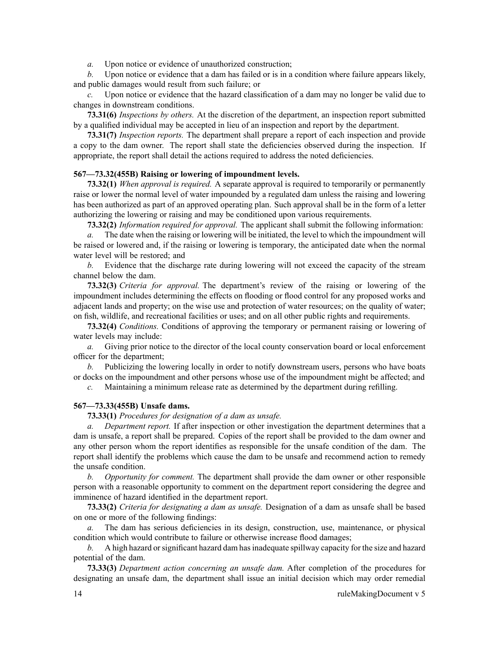*a.* Upon notice or evidence of unauthorized construction;

*b.* Upon notice or evidence that <sup>a</sup> dam has failed or is in <sup>a</sup> condition where failure appears likely, and public damages would result from such failure; or

*c.* Upon notice or evidence that the hazard classification of <sup>a</sup> dam may no longer be valid due to changes in downstream conditions.

**73.31(6)** *Inspections by others.* At the discretion of the department, an inspection repor<sup>t</sup> submitted by <sup>a</sup> qualified individual may be accepted in lieu of an inspection and repor<sup>t</sup> by the department.

**73.31(7)** *Inspection reports.* The department shall prepare <sup>a</sup> repor<sup>t</sup> of each inspection and provide <sup>a</sup> copy to the dam owner. The repor<sup>t</sup> shall state the deficiencies observed during the inspection. If appropriate, the repor<sup>t</sup> shall detail the actions required to address the noted deficiencies.

## **567—73.32(455B) Raising or lowering of impoundment levels.**

**73.32(1)** *When approval is required.* A separate approval is required to temporarily or permanently raise or lower the normal level of water impounded by <sup>a</sup> regulated dam unless the raising and lowering has been authorized as par<sup>t</sup> of an approved operating plan. Such approval shall be in the form of <sup>a</sup> letter authorizing the lowering or raising and may be conditioned upon various requirements.

**73.32(2)** *Information required for approval.* The applicant shall submit the following information:

*a.* The date when the raising or lowering will be initiated, the level to which the impoundment will be raised or lowered and, if the raising or lowering is temporary, the anticipated date when the normal water level will be restored; and

*b.* Evidence that the discharge rate during lowering will not exceed the capacity of the stream channel below the dam.

**73.32(3)** *Criteria for approval.* The department's review of the raising or lowering of the impoundment includes determining the effects on flooding or flood control for any proposed works and adjacent lands and property; on the wise use and protection of water resources; on the quality of water; on fish, wildlife, and recreational facilities or uses; and on all other public rights and requirements.

**73.32(4)** *Conditions.* Conditions of approving the temporary or permanen<sup>t</sup> raising or lowering of water levels may include:

*a.* Giving prior notice to the director of the local county conservation board or local enforcement officer for the department;

*b.* Publicizing the lowering locally in order to notify downstream users, persons who have boats or docks on the impoundment and other persons whose use of the impoundment might be affected; and

*c.* Maintaining <sup>a</sup> minimum release rate as determined by the department during refilling.

## **567—73.33(455B) Unsafe dams.**

**73.33(1)** *Procedures for designation of <sup>a</sup> dam as unsafe.*

*a. Department report.* If after inspection or other investigation the department determines that <sup>a</sup> dam is unsafe, <sup>a</sup> repor<sup>t</sup> shall be prepared. Copies of the repor<sup>t</sup> shall be provided to the dam owner and any other person whom the repor<sup>t</sup> identifies as responsible for the unsafe condition of the dam. The repor<sup>t</sup> shall identify the problems which cause the dam to be unsafe and recommend action to remedy the unsafe condition.

*b. Opportunity for comment.* The department shall provide the dam owner or other responsible person with <sup>a</sup> reasonable opportunity to comment on the department repor<sup>t</sup> considering the degree and imminence of hazard identified in the department report.

**73.33(2)** *Criteria for designating <sup>a</sup> dam as unsafe.* Designation of <sup>a</sup> dam as unsafe shall be based on one or more of the following findings:

*a.* The dam has serious deficiencies in its design, construction, use, maintenance, or physical condition which would contribute to failure or otherwise increase flood damages;

*b.* A high hazard or significant hazard dam has inadequate spillway capacity for the size and hazard potential of the dam.

**73.33(3)** *Department action concerning an unsafe dam.* After completion of the procedures for designating an unsafe dam, the department shall issue an initial decision which may order remedial